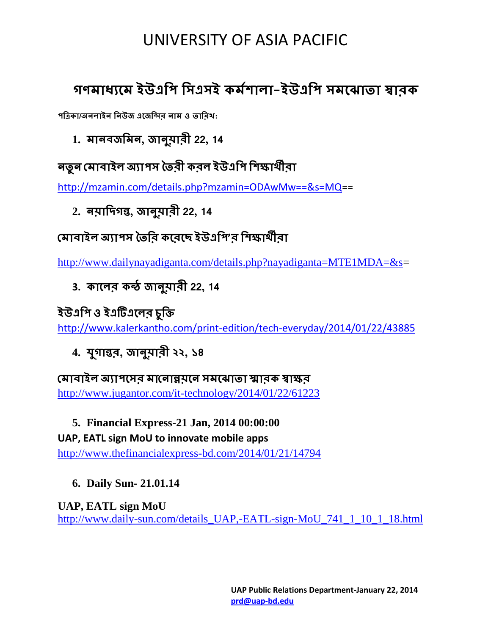# UNIVERSITY OF ASIA PACIFIC

## **গণমাধ্যমম ইউএপি পিএিই কমমলাা-ইউএপি িমম াতা স্বারক**

**িপিকা/অনাইন পনউজ এমজপির নাম ও তাপরখ:**

**1. মানবজপমন, জানুয়ারী 22, 14**

**নতুন মমাবাই অযািি ততরী কর ইউএপি পলক্ষাথীরা**

[http://mzamin.com/details.php?mzamin=ODAwMw==&s=MQ=](http://mzamin.com/details.php?mzamin=ODAwMw==&s=MQ)=

**2. নয়াপিগন্ত, জানুয়ারী 22, 14**

## **মমাবাই অযািি ততপর কমরমে ইউএপি'র পলক্ষাথীরা**

[http://www.dailynayadiganta.com/details.php?nayadiganta=MTE1MDA=&s=](http://www.dailynayadiganta.com/details.php?nayadiganta=MTE1MDA=&s)

**3. কামর কন্ঠ জানুয়ারী 22, 14**

### **ইউএপি ও ইএটিএমর চুপি**

<http://www.kalerkantho.com/print-edition/tech-everyday/2014/01/22/43885>

**4. যগুান্তর, জানুয়ারী ২২, ১৪**

**মমাবাই অযািমির মামনান্নয়মন িমম াতা স্মারক স্বাক্ষর** <http://www.jugantor.com/it-technology/2014/01/22/61223>

#### **5. Financial Express-21 Jan, 2014 00:00:00**

#### **UAP, EATL sign MoU to innovate mobile apps**

<http://www.thefinancialexpress-bd.com/2014/01/21/14794>

**6. Daily Sun- 21.01.14**

**UAP, EATL sign MoU** [http://www.daily-sun.com/details\\_UAP,-EATL-sign-MoU\\_741\\_1\\_10\\_1\\_18.html](http://www.daily-sun.com/details_UAP,-EATL-sign-MoU_741_1_10_1_18.html)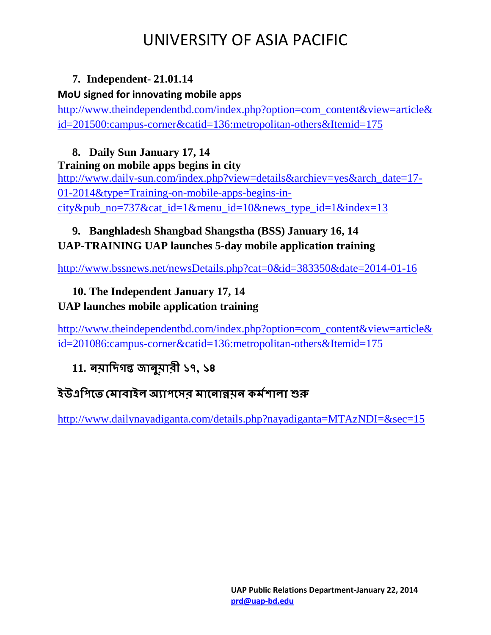# UNIVERSITY OF ASIA PACIFIC

#### **7. Independent- 21.01.14**

#### **MoU signed for innovating mobile apps**

[http://www.theindependentbd.com/index.php?option=com\\_content&view=article&](http://www.theindependentbd.com/index.php?option=com_content&view=article&id=201500:campus-corner&catid=136:metropolitan-others&Itemid=175) [id=201500:campus-corner&catid=136:metropolitan-others&Itemid=175](http://www.theindependentbd.com/index.php?option=com_content&view=article&id=201500:campus-corner&catid=136:metropolitan-others&Itemid=175)

#### **8. Daily Sun January 17, 14**

#### **Training on mobile apps begins in city**

[http://www.daily-sun.com/index.php?view=details&archiev=yes&arch\\_date=17-](http://www.daily-sun.com/index.php?view=details&archiev=yes&arch_date=17-01-2014&type=Training-on-mobile-apps-begins-in-city&pub_no=737&cat_id=1&menu_id=10&news_type_id=1&index=13) [01-2014&type=Training-on-mobile-apps-begins-in](http://www.daily-sun.com/index.php?view=details&archiev=yes&arch_date=17-01-2014&type=Training-on-mobile-apps-begins-in-city&pub_no=737&cat_id=1&menu_id=10&news_type_id=1&index=13)[city&pub\\_no=737&cat\\_id=1&menu\\_id=10&news\\_type\\_id=1&index=13](http://www.daily-sun.com/index.php?view=details&archiev=yes&arch_date=17-01-2014&type=Training-on-mobile-apps-begins-in-city&pub_no=737&cat_id=1&menu_id=10&news_type_id=1&index=13)

### **9. Banghladesh Shangbad Shangstha (BSS) January 16, 14 UAP-TRAINING UAP launches 5-day mobile application training**

<http://www.bssnews.net/newsDetails.php?cat=0&id=383350&date=2014-01-16>

#### **10. The Independent January 17, 14 UAP launches mobile application training**

[http://www.theindependentbd.com/index.php?option=com\\_content&view=article&](http://www.theindependentbd.com/index.php?option=com_content&view=article&id=201086:campus-corner&catid=136:metropolitan-others&Itemid=175) [id=201086:campus-corner&catid=136:metropolitan-others&Itemid=175](http://www.theindependentbd.com/index.php?option=com_content&view=article&id=201086:campus-corner&catid=136:metropolitan-others&Itemid=175)

## **11. নয়াপিগন্ত জানুয়ারী ১৭, ১৪**

## **ইউএপিমত মমাবাই অযািমির মামনান্নয়ন কমমলাা শুরু**

<http://www.dailynayadiganta.com/details.php?nayadiganta=MTAzNDI=&sec=15>